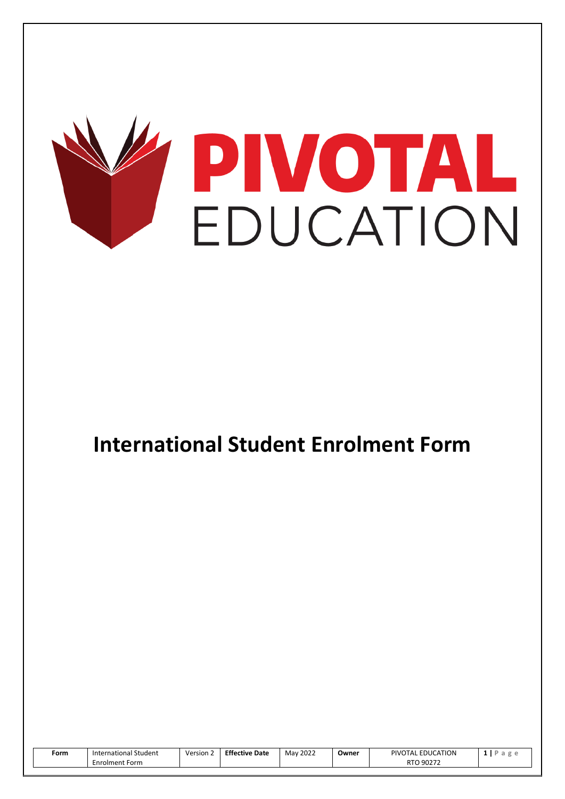

# **International Student Enrolment Form**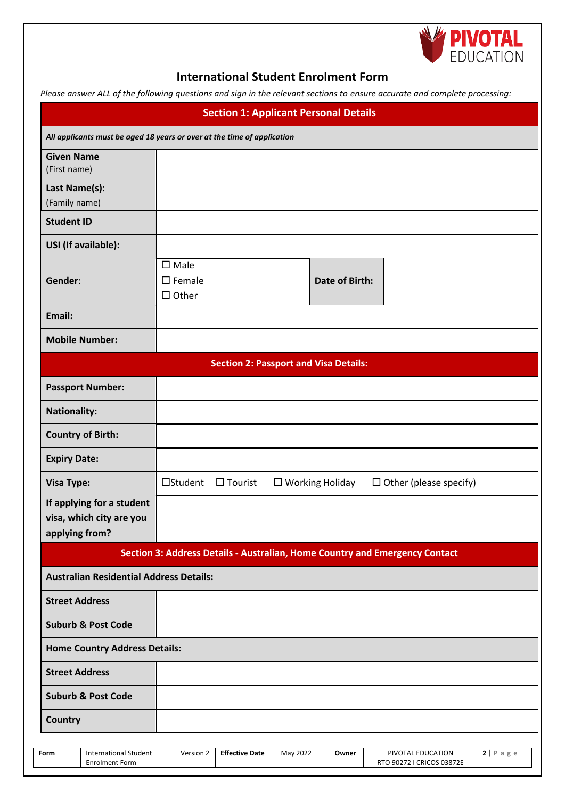

## **International Student Enrolment Form**

*Please answer ALL of the following questions and sign in the relevant sections to ensure accurate and complete processing:*

|                                                                         |                                                    | <b>Section 1: Applicant Personal Details</b> |                           |                       | ricase answer rice of the following questions and sign in the relevant sections to ensure accurate and complete processing. |                                |
|-------------------------------------------------------------------------|----------------------------------------------------|----------------------------------------------|---------------------------|-----------------------|-----------------------------------------------------------------------------------------------------------------------------|--------------------------------|
| All applicants must be aged 18 years or over at the time of application |                                                    |                                              |                           |                       |                                                                                                                             |                                |
| <b>Given Name</b><br>(First name)                                       |                                                    |                                              |                           |                       |                                                                                                                             |                                |
| Last Name(s):<br>(Family name)                                          |                                                    |                                              |                           |                       |                                                                                                                             |                                |
| <b>Student ID</b>                                                       |                                                    |                                              |                           |                       |                                                                                                                             |                                |
| USI (If available):                                                     |                                                    |                                              |                           |                       |                                                                                                                             |                                |
| Gender:                                                                 | $\square$ Male<br>$\square$ Female<br>$\Box$ Other |                                              |                           | <b>Date of Birth:</b> |                                                                                                                             |                                |
| Email:                                                                  |                                                    |                                              |                           |                       |                                                                                                                             |                                |
| <b>Mobile Number:</b>                                                   |                                                    |                                              |                           |                       |                                                                                                                             |                                |
|                                                                         |                                                    | <b>Section 2: Passport and Visa Details:</b> |                           |                       |                                                                                                                             |                                |
| <b>Passport Number:</b>                                                 |                                                    |                                              |                           |                       |                                                                                                                             |                                |
| <b>Nationality:</b>                                                     |                                                    |                                              |                           |                       |                                                                                                                             |                                |
| <b>Country of Birth:</b>                                                |                                                    |                                              |                           |                       |                                                                                                                             |                                |
| <b>Expiry Date:</b>                                                     |                                                    |                                              |                           |                       |                                                                                                                             |                                |
| <b>Visa Type:</b>                                                       | □Student                                           | $\Box$ Tourist                               | $\square$ Working Holiday |                       | $\Box$ Other (please specify)                                                                                               |                                |
| If applying for a student<br>visa, which city are you<br>applying from? |                                                    |                                              |                           |                       |                                                                                                                             |                                |
|                                                                         |                                                    |                                              |                           |                       | Section 3: Address Details - Australian, Home Country and Emergency Contact                                                 |                                |
| <b>Australian Residential Address Details:</b>                          |                                                    |                                              |                           |                       |                                                                                                                             |                                |
| <b>Street Address</b>                                                   |                                                    |                                              |                           |                       |                                                                                                                             |                                |
| <b>Suburb &amp; Post Code</b>                                           |                                                    |                                              |                           |                       |                                                                                                                             |                                |
| <b>Home Country Address Details:</b>                                    |                                                    |                                              |                           |                       |                                                                                                                             |                                |
| <b>Street Address</b>                                                   |                                                    |                                              |                           |                       |                                                                                                                             |                                |
| <b>Suburb &amp; Post Code</b>                                           |                                                    |                                              |                           |                       |                                                                                                                             |                                |
| Country                                                                 |                                                    |                                              |                           |                       |                                                                                                                             |                                |
| <b>International Student</b><br>Form                                    | Version 2                                          | <b>Effective Date</b>                        | May 2022                  | Owner                 | PIVOTAL EDUCATION                                                                                                           | $2   P \text{ a } g \text{ e}$ |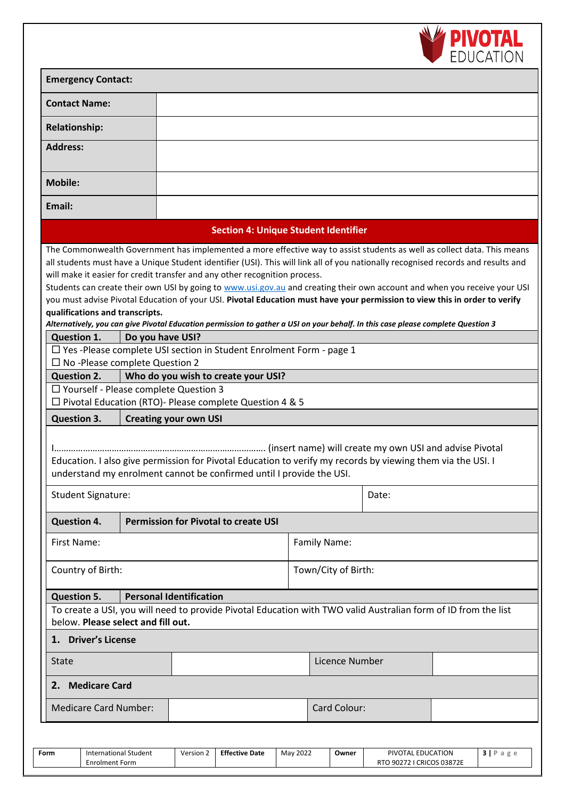

RTO 90272 I CRICOS 03872E

| <b>Emergency Contact:</b>                                          |                                                                                                                                                                                     |                     |                                                                                                                                                                                                                                                                                                                                                                                                                                                                                                                                  |  |  |  |
|--------------------------------------------------------------------|-------------------------------------------------------------------------------------------------------------------------------------------------------------------------------------|---------------------|----------------------------------------------------------------------------------------------------------------------------------------------------------------------------------------------------------------------------------------------------------------------------------------------------------------------------------------------------------------------------------------------------------------------------------------------------------------------------------------------------------------------------------|--|--|--|
| <b>Contact Name:</b>                                               |                                                                                                                                                                                     |                     |                                                                                                                                                                                                                                                                                                                                                                                                                                                                                                                                  |  |  |  |
| <b>Relationship:</b>                                               |                                                                                                                                                                                     |                     |                                                                                                                                                                                                                                                                                                                                                                                                                                                                                                                                  |  |  |  |
| <b>Address:</b>                                                    |                                                                                                                                                                                     |                     |                                                                                                                                                                                                                                                                                                                                                                                                                                                                                                                                  |  |  |  |
| <b>Mobile:</b>                                                     |                                                                                                                                                                                     |                     |                                                                                                                                                                                                                                                                                                                                                                                                                                                                                                                                  |  |  |  |
| Email:                                                             |                                                                                                                                                                                     |                     |                                                                                                                                                                                                                                                                                                                                                                                                                                                                                                                                  |  |  |  |
|                                                                    | <b>Section 4: Unique Student Identifier</b>                                                                                                                                         |                     |                                                                                                                                                                                                                                                                                                                                                                                                                                                                                                                                  |  |  |  |
| qualifications and transcripts.                                    | will make it easier for credit transfer and any other recognition process.                                                                                                          |                     | all students must have a Unique Student identifier (USI). This will link all of you nationally recognised records and results and<br>Students can create their own USI by going to www.usi.gov.au and creating their own account and when you receive your USI<br>you must advise Pivotal Education of your USI. Pivotal Education must have your permission to view this in order to verify<br>Alternatively, you can give Pivotal Education permission to gather a USI on your behalf. In this case please complete Question 3 |  |  |  |
| <b>Question 1.</b>                                                 | Do you have USI?<br>$\Box$ Yes-Please complete USI section in Student Enrolment Form - page 1                                                                                       |                     |                                                                                                                                                                                                                                                                                                                                                                                                                                                                                                                                  |  |  |  |
| $\Box$ No -Please complete Question 2                              |                                                                                                                                                                                     |                     |                                                                                                                                                                                                                                                                                                                                                                                                                                                                                                                                  |  |  |  |
| <b>Question 2.</b><br>$\Box$ Yourself - Please complete Question 3 | Who do you wish to create your USI?                                                                                                                                                 |                     |                                                                                                                                                                                                                                                                                                                                                                                                                                                                                                                                  |  |  |  |
|                                                                    | $\Box$ Pivotal Education (RTO)- Please complete Question 4 & 5                                                                                                                      |                     |                                                                                                                                                                                                                                                                                                                                                                                                                                                                                                                                  |  |  |  |
| <b>Question 3.</b>                                                 | <b>Creating your own USI</b>                                                                                                                                                        |                     |                                                                                                                                                                                                                                                                                                                                                                                                                                                                                                                                  |  |  |  |
|                                                                    | Education. I also give permission for Pivotal Education to verify my records by viewing them via the USI. I<br>understand my enrolment cannot be confirmed until I provide the USI. |                     |                                                                                                                                                                                                                                                                                                                                                                                                                                                                                                                                  |  |  |  |
| <b>Student Signature:</b>                                          |                                                                                                                                                                                     |                     | Date:                                                                                                                                                                                                                                                                                                                                                                                                                                                                                                                            |  |  |  |
| <b>Question 4.</b>                                                 | <b>Permission for Pivotal to create USI</b>                                                                                                                                         |                     |                                                                                                                                                                                                                                                                                                                                                                                                                                                                                                                                  |  |  |  |
| First Name:                                                        |                                                                                                                                                                                     | Family Name:        |                                                                                                                                                                                                                                                                                                                                                                                                                                                                                                                                  |  |  |  |
| Country of Birth:                                                  |                                                                                                                                                                                     | Town/City of Birth: |                                                                                                                                                                                                                                                                                                                                                                                                                                                                                                                                  |  |  |  |
| <b>Question 5.</b><br>below. Please select and fill out.           | <b>Personal Identification</b>                                                                                                                                                      |                     | To create a USI, you will need to provide Pivotal Education with TWO valid Australian form of ID from the list                                                                                                                                                                                                                                                                                                                                                                                                                   |  |  |  |
| <b>Driver's License</b><br>1.                                      |                                                                                                                                                                                     |                     |                                                                                                                                                                                                                                                                                                                                                                                                                                                                                                                                  |  |  |  |
| State                                                              |                                                                                                                                                                                     | Licence Number      |                                                                                                                                                                                                                                                                                                                                                                                                                                                                                                                                  |  |  |  |
| <b>Medicare Card</b><br>2.                                         |                                                                                                                                                                                     |                     |                                                                                                                                                                                                                                                                                                                                                                                                                                                                                                                                  |  |  |  |
| <b>Medicare Card Number:</b>                                       |                                                                                                                                                                                     | Card Colour:        |                                                                                                                                                                                                                                                                                                                                                                                                                                                                                                                                  |  |  |  |
| <b>International Student</b><br>Form                               | Version 2<br><b>Effective Date</b>                                                                                                                                                  | May 2022<br>Owner   | PIVOTAL EDUCATION<br>3   P a g e                                                                                                                                                                                                                                                                                                                                                                                                                                                                                                 |  |  |  |

Enrolment Form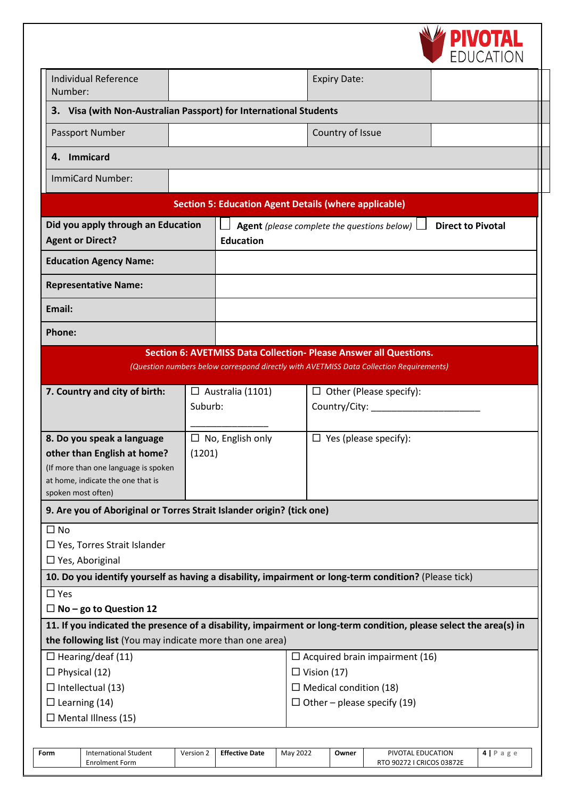

| <b>Individual Reference</b><br>Number:                                |         |                         | <b>Expiry Date:</b>                                                                                                |                          |
|-----------------------------------------------------------------------|---------|-------------------------|--------------------------------------------------------------------------------------------------------------------|--------------------------|
| 3. Visa (with Non-Australian Passport) for International Students     |         |                         |                                                                                                                    |                          |
| Passport Number                                                       |         |                         | Country of Issue                                                                                                   |                          |
| 4. Immicard                                                           |         |                         |                                                                                                                    |                          |
| ImmiCard Number:                                                      |         |                         |                                                                                                                    |                          |
|                                                                       |         |                         | <b>Section 5: Education Agent Details (where applicable)</b>                                                       |                          |
| Did you apply through an Education                                    |         |                         | <b>Agent</b> (please complete the questions below) $\Box$                                                          | <b>Direct to Pivotal</b> |
| <b>Agent or Direct?</b>                                               |         | <b>Education</b>        |                                                                                                                    |                          |
| <b>Education Agency Name:</b>                                         |         |                         |                                                                                                                    |                          |
| <b>Representative Name:</b>                                           |         |                         |                                                                                                                    |                          |
| Email:                                                                |         |                         |                                                                                                                    |                          |
| <b>Phone:</b>                                                         |         |                         |                                                                                                                    |                          |
|                                                                       |         |                         | Section 6: AVETMISS Data Collection- Please Answer all Questions.                                                  |                          |
|                                                                       |         |                         | (Question numbers below correspond directly with AVETMISS Data Collection Requirements)                            |                          |
| 7. Country and city of birth:                                         |         | $\Box$ Australia (1101) | $\Box$ Other (Please specify):                                                                                     |                          |
|                                                                       | Suburb: |                         | Country/City: ________                                                                                             |                          |
|                                                                       |         |                         |                                                                                                                    |                          |
| 8. Do you speak a language                                            |         | $\Box$ No, English only | $\Box$ Yes (please specify):                                                                                       |                          |
| other than English at home?                                           | (1201)  |                         |                                                                                                                    |                          |
| (If more than one language is spoken                                  |         |                         |                                                                                                                    |                          |
| at home, indicate the one that is<br>spoken most often)               |         |                         |                                                                                                                    |                          |
| 9. Are you of Aboriginal or Torres Strait Islander origin? (tick one) |         |                         |                                                                                                                    |                          |
| $\square$ No                                                          |         |                         |                                                                                                                    |                          |
| $\Box$ Yes, Torres Strait Islander                                    |         |                         |                                                                                                                    |                          |
| $\Box$ Yes, Aboriginal                                                |         |                         |                                                                                                                    |                          |
|                                                                       |         |                         | 10. Do you identify yourself as having a disability, impairment or long-term condition? (Please tick)              |                          |
| $\square$ Yes                                                         |         |                         |                                                                                                                    |                          |
| $\Box$ No – go to Question 12                                         |         |                         |                                                                                                                    |                          |
|                                                                       |         |                         | 11. If you indicated the presence of a disability, impairment or long-term condition, please select the area(s) in |                          |
| the following list (You may indicate more than one area)              |         |                         |                                                                                                                    |                          |
| $\Box$ Hearing/deaf (11)                                              |         |                         | $\Box$ Acquired brain impairment (16)                                                                              |                          |
| $\Box$ Physical (12)                                                  |         |                         | $\Box$ Vision (17)                                                                                                 |                          |
| $\Box$ Intellectual (13)                                              |         |                         | $\Box$ Medical condition (18)                                                                                      |                          |
| $\Box$ Learning (14)                                                  |         |                         | $\Box$ Other – please specify (19)                                                                                 |                          |
| $\Box$ Mental Illness (15)                                            |         |                         |                                                                                                                    |                          |
|                                                                       |         |                         |                                                                                                                    |                          |

| Form | International Student<br>Enrolment Form | Version 2 | <b>Effective Date</b> | May 2022 | Owner | PIVOTAL EDUCATION<br><b>CRICOS 03872E</b><br>902721<br>טוח | $\sigma$ $\sigma$<br>a |
|------|-----------------------------------------|-----------|-----------------------|----------|-------|------------------------------------------------------------|------------------------|
|------|-----------------------------------------|-----------|-----------------------|----------|-------|------------------------------------------------------------|------------------------|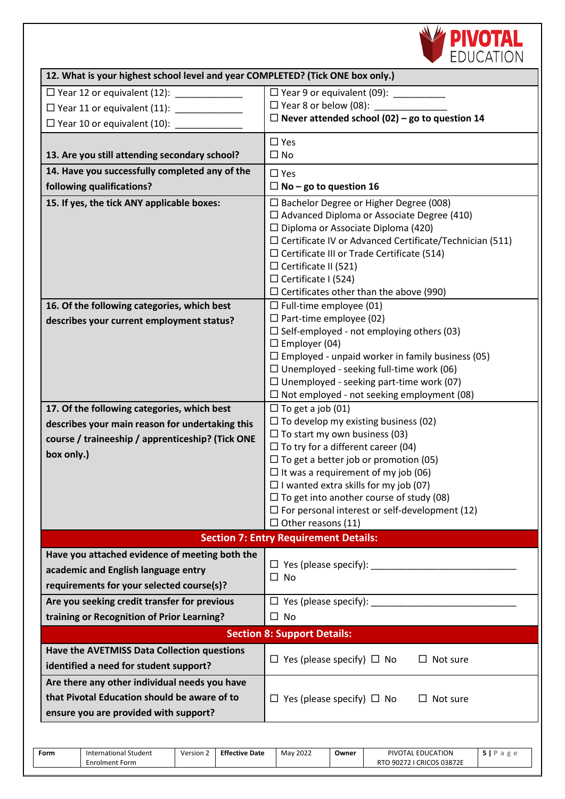

| 12. What is your highest school level and year COMPLETED? (Tick ONE box only.) |                                                                                                                                                                                                                                                                                                                                                                                          |
|--------------------------------------------------------------------------------|------------------------------------------------------------------------------------------------------------------------------------------------------------------------------------------------------------------------------------------------------------------------------------------------------------------------------------------------------------------------------------------|
| □ Year 12 or equivalent (12): ______________                                   | $\Box$ Year 9 or equivalent (09):                                                                                                                                                                                                                                                                                                                                                        |
| □ Year 11 or equivalent (11): ___________                                      | $\Box$ Year 8 or below (08):                                                                                                                                                                                                                                                                                                                                                             |
| $\Box$ Year 10 or equivalent (10):                                             | $\Box$ Never attended school (02) – go to question 14                                                                                                                                                                                                                                                                                                                                    |
|                                                                                | $\square$ Yes                                                                                                                                                                                                                                                                                                                                                                            |
| 13. Are you still attending secondary school?                                  | $\square$ No                                                                                                                                                                                                                                                                                                                                                                             |
| 14. Have you successfully completed any of the                                 | $\square$ Yes                                                                                                                                                                                                                                                                                                                                                                            |
| following qualifications?                                                      | $\Box$ No – go to question 16                                                                                                                                                                                                                                                                                                                                                            |
| 15. If yes, the tick ANY applicable boxes:                                     | $\square$ Bachelor Degree or Higher Degree (008)<br>$\Box$ Advanced Diploma or Associate Degree (410)<br>$\Box$ Diploma or Associate Diploma (420)<br>$\Box$ Certificate IV or Advanced Certificate/Technician (511)<br>$\Box$ Certificate III or Trade Certificate (514)<br>$\Box$ Certificate II (521)<br>$\Box$ Certificate I (524)<br>$\Box$ Certificates other than the above (990) |
| 16. Of the following categories, which best                                    | $\Box$ Full-time employee (01)                                                                                                                                                                                                                                                                                                                                                           |
| describes your current employment status?                                      | $\Box$ Part-time employee (02)<br>$\Box$ Self-employed - not employing others (03)<br>$\Box$ Employer (04)<br>$\Box$ Employed - unpaid worker in family business (05)<br>$\Box$ Unemployed - seeking full-time work (06)<br>$\Box$ Unemployed - seeking part-time work (07)<br>$\Box$ Not employed - not seeking employment (08)                                                         |
| 17. Of the following categories, which best                                    | $\Box$ To get a job (01)                                                                                                                                                                                                                                                                                                                                                                 |
| describes your main reason for undertaking this                                | $\Box$ To develop my existing business (02)                                                                                                                                                                                                                                                                                                                                              |
| course / traineeship / apprenticeship? (Tick ONE                               | $\Box$ To start my own business (03)                                                                                                                                                                                                                                                                                                                                                     |
| box only.)                                                                     | $\Box$ To try for a different career (04)<br>$\Box$ To get a better job or promotion (05)                                                                                                                                                                                                                                                                                                |
|                                                                                | $\Box$ It was a requirement of my job (06)                                                                                                                                                                                                                                                                                                                                               |
|                                                                                | $\Box$ I wanted extra skills for my job (07)                                                                                                                                                                                                                                                                                                                                             |
|                                                                                | $\Box$ To get into another course of study (08)                                                                                                                                                                                                                                                                                                                                          |
|                                                                                | $\Box$ For personal interest or self-development (12)                                                                                                                                                                                                                                                                                                                                    |
|                                                                                | $\square$ Other reasons (11)<br><b>Section 7: Entry Requirement Details:</b>                                                                                                                                                                                                                                                                                                             |
| Have you attached evidence of meeting both the                                 |                                                                                                                                                                                                                                                                                                                                                                                          |
| academic and English language entry                                            |                                                                                                                                                                                                                                                                                                                                                                                          |
| requirements for your selected course(s)?                                      | $\Box$ No                                                                                                                                                                                                                                                                                                                                                                                |
| Are you seeking credit transfer for previous                                   |                                                                                                                                                                                                                                                                                                                                                                                          |
| training or Recognition of Prior Learning?                                     | $\square$ No                                                                                                                                                                                                                                                                                                                                                                             |
|                                                                                | <b>Section 8: Support Details:</b>                                                                                                                                                                                                                                                                                                                                                       |
| Have the AVETMISS Data Collection questions                                    |                                                                                                                                                                                                                                                                                                                                                                                          |
| identified a need for student support?                                         | $\Box$ Yes (please specify) $\Box$ No<br>Not sure                                                                                                                                                                                                                                                                                                                                        |
| Are there any other individual needs you have                                  |                                                                                                                                                                                                                                                                                                                                                                                          |
| that Pivotal Education should be aware of to                                   | $\Box$ Yes (please specify) $\Box$ No<br>Not sure<br>$\Box$                                                                                                                                                                                                                                                                                                                              |
| ensure you are provided with support?                                          |                                                                                                                                                                                                                                                                                                                                                                                          |
|                                                                                |                                                                                                                                                                                                                                                                                                                                                                                          |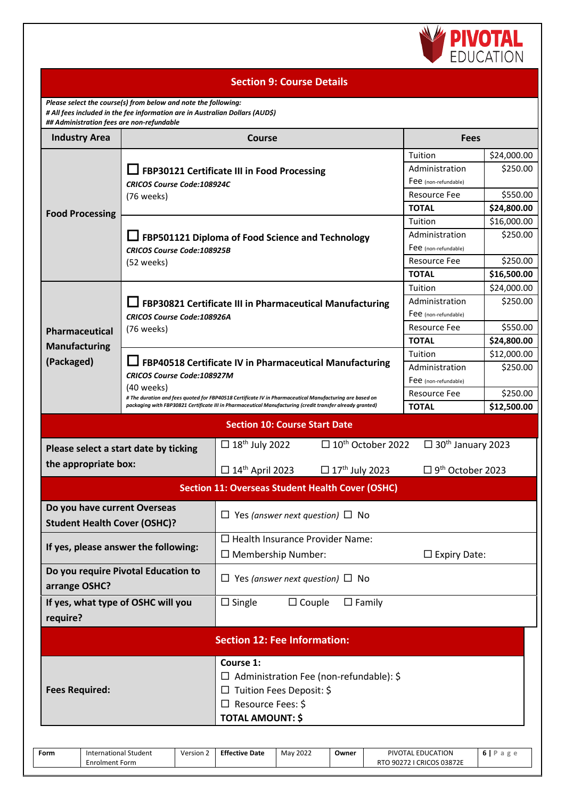

#### **Section 9: Course Details**

*Please select the course(s) from below and note the following: # All fees included in the fee information are in Australian Dollars (AUD\$)*

 $\overline{\phantom{a}}$ 

| ## Administration fees are non-refundable<br><b>Industry Area</b> |                                                 | Course                                                                                                         | <b>Fees</b>                          |             |  |  |
|-------------------------------------------------------------------|-------------------------------------------------|----------------------------------------------------------------------------------------------------------------|--------------------------------------|-------------|--|--|
|                                                                   |                                                 |                                                                                                                | Tuition                              | \$24,000.00 |  |  |
|                                                                   |                                                 |                                                                                                                | Administration                       | \$250.00    |  |  |
|                                                                   |                                                 | FBP30121 Certificate III in Food Processing                                                                    | Fee (non-refundable)                 |             |  |  |
|                                                                   | <b>CRICOS Course Code:108924C</b><br>(76 weeks) |                                                                                                                | Resource Fee                         | \$550.00    |  |  |
|                                                                   |                                                 |                                                                                                                | <b>TOTAL</b>                         | \$24,800.00 |  |  |
| <b>Food Processing</b>                                            |                                                 |                                                                                                                | Tuition                              | \$16,000.00 |  |  |
| <b>CRICOS Course Code:108925B</b>                                 |                                                 | FBP501121 Diploma of Food Science and Technology                                                               | Administration                       | \$250.00    |  |  |
|                                                                   |                                                 |                                                                                                                | Fee (non-refundable)                 |             |  |  |
|                                                                   | (52 weeks)                                      |                                                                                                                | <b>Resource Fee</b>                  | \$250.00    |  |  |
|                                                                   |                                                 |                                                                                                                | <b>TOTAL</b>                         | \$16,500.00 |  |  |
|                                                                   |                                                 |                                                                                                                | Tuition                              | \$24,000.00 |  |  |
|                                                                   |                                                 | □ FBP30821 Certificate III in Pharmaceutical Manufacturing                                                     | Administration                       | \$250.00    |  |  |
|                                                                   | <b>CRICOS Course Code:108926A</b>               |                                                                                                                | Fee (non-refundable)                 |             |  |  |
| Pharmaceutical                                                    | (76 weeks)                                      |                                                                                                                | <b>Resource Fee</b>                  | \$550.00    |  |  |
| <b>Manufacturing</b>                                              |                                                 |                                                                                                                | <b>TOTAL</b>                         | \$24,800.00 |  |  |
| (Packaged)                                                        |                                                 |                                                                                                                | Tuition                              | \$12,000.00 |  |  |
|                                                                   |                                                 | FBP40518 Certificate IV in Pharmaceutical Manufacturing                                                        | Administration                       | \$250.00    |  |  |
|                                                                   | <b>CRICOS Course Code:108927M</b><br>(40 weeks) |                                                                                                                | Fee (non-refundable)                 |             |  |  |
|                                                                   |                                                 | # The duration and fees quoted for FBP40518 Certificate IV in Pharmaceutical Manufacturing are based on        | <b>Resource Fee</b>                  | \$250.00    |  |  |
|                                                                   |                                                 | packaging with FBP30821 Certificate III in Pharmaceutical Manufacturing (credit transfer already granted)      | <b>TOTAL</b>                         | \$12,500.00 |  |  |
|                                                                   |                                                 | <b>Section 10: Course Start Date</b>                                                                           |                                      |             |  |  |
|                                                                   | Please select a start date by ticking           | $\Box$ 10 <sup>th</sup> October 2022<br>$\Box$ 18 <sup>th</sup> July 2022                                      | $\Box$ 30 <sup>th</sup> January 2023 |             |  |  |
| the appropriate box:                                              |                                                 | $\Box$ 14 <sup>th</sup> April 2023<br>$\Box$ 17 <sup>th</sup> July 2023<br>$\Box$ 9 <sup>th</sup> October 2023 |                                      |             |  |  |
|                                                                   |                                                 | <b>Section 11: Overseas Student Health Cover (OSHC)</b>                                                        |                                      |             |  |  |
| Do you have current Overseas                                      |                                                 |                                                                                                                |                                      |             |  |  |
| <b>Student Health Cover (OSHC)?</b>                               |                                                 | $\Box$ Yes (answer next question) $\Box$ No                                                                    |                                      |             |  |  |
|                                                                   | If yes, please answer the following:            | $\Box$ Health Insurance Provider Name:                                                                         |                                      |             |  |  |
|                                                                   |                                                 | $\Box$ Membership Number:                                                                                      | $\Box$ Expiry Date:                  |             |  |  |
|                                                                   | Do you require Pivotal Education to             | $\Box$ Yes (answer next question) $\Box$ No                                                                    |                                      |             |  |  |
| arrange OSHC?                                                     |                                                 |                                                                                                                |                                      |             |  |  |
| If yes, what type of OSHC will you                                |                                                 | $\Box$ Couple<br>$\Box$ Family<br>$\Box$ Single                                                                |                                      |             |  |  |
| require?                                                          |                                                 |                                                                                                                |                                      |             |  |  |
|                                                                   |                                                 | <b>Section 12: Fee Information:</b>                                                                            |                                      |             |  |  |
|                                                                   |                                                 | Course 1:                                                                                                      |                                      |             |  |  |
|                                                                   |                                                 | $\Box$ Administration Fee (non-refundable): \$                                                                 |                                      |             |  |  |
| <b>Fees Required:</b>                                             |                                                 | □ Tuition Fees Deposit: \$                                                                                     |                                      |             |  |  |
|                                                                   |                                                 | $\Box$ Resource Fees: \$                                                                                       |                                      |             |  |  |
|                                                                   |                                                 | <b>TOTAL AMOUNT: \$</b>                                                                                        |                                      |             |  |  |
|                                                                   |                                                 |                                                                                                                |                                      |             |  |  |

| Form | $\sim$<br>Student<br>mational. | Version | <b>Effective Date</b> | 2022<br>Mav | Owner<br>______ | <b>EDUCATION</b><br>PIVO<br>`TAL.                  | $\sim$ |
|------|--------------------------------|---------|-----------------------|-------------|-----------------|----------------------------------------------------|--------|
|      | irolment Form<br>.nro          |         |                       |             |                 | <b>CRICOS 03872E</b><br>90272 ر<br>, , ,<br>$\sim$ |        |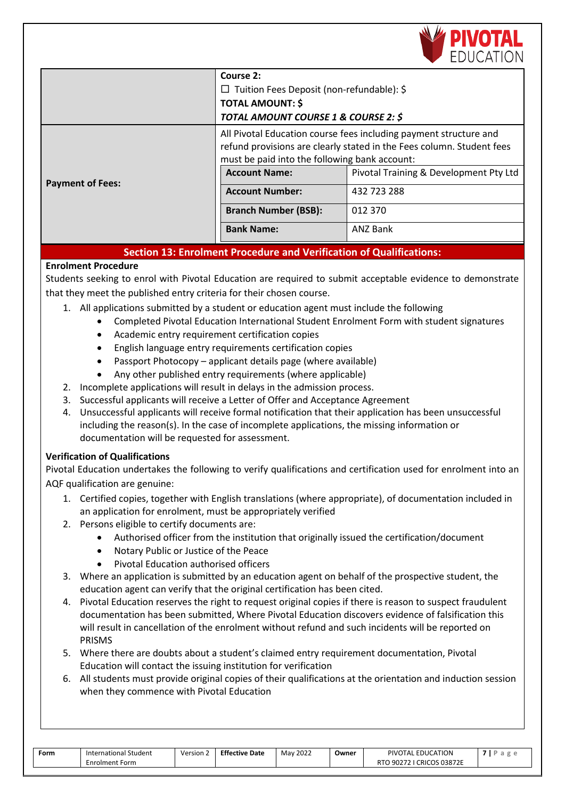

|                         | Course 2:<br>$\Box$ Tuition Fees Deposit (non-refundable): \$<br><b>TOTAL AMOUNT: \$</b><br>TOTAL AMOUNT COURSE 1 & COURSE 2: \$                                                            |                                        |  |  |
|-------------------------|---------------------------------------------------------------------------------------------------------------------------------------------------------------------------------------------|----------------------------------------|--|--|
|                         | All Pivotal Education course fees including payment structure and<br>refund provisions are clearly stated in the Fees column. Student fees<br>must be paid into the following bank account: |                                        |  |  |
| <b>Payment of Fees:</b> | <b>Account Name:</b>                                                                                                                                                                        | Pivotal Training & Development Pty Ltd |  |  |
|                         | <b>Account Number:</b>                                                                                                                                                                      | 432 723 288                            |  |  |
|                         | <b>Branch Number (BSB):</b>                                                                                                                                                                 | 012 370                                |  |  |
|                         | <b>Bank Name:</b>                                                                                                                                                                           | <b>ANZ Bank</b>                        |  |  |

## **Section 13: Enrolment Procedure and Verification of Qualifications:**

## **Enrolment Procedure**

Students seeking to enrol with Pivotal Education are required to submit acceptable evidence to demonstrate that they meet the published entry criteria for their chosen course.

- 1. All applications submitted by a student or education agent must include the following
	- Completed Pivotal Education International Student Enrolment Form with student signatures
	- Academic entry requirement certification copies
	- English language entry requirements certification copies
	- Passport Photocopy applicant details page (where available)
	- Any other published entry requirements (where applicable)
- 2. Incomplete applications will result in delays in the admission process.
- 3. Successful applicants will receive a Letter of Offer and Acceptance Agreement
- 4. Unsuccessful applicants will receive formal notification that their application has been unsuccessful including the reason(s). In the case of incomplete applications, the missing information or documentation will be requested for assessment.

#### **Verification of Qualifications**

Pivotal Education undertakes the following to verify qualifications and certification used for enrolment into an AQF qualification are genuine:

- 1. Certified copies, together with English translations (where appropriate), of documentation included in an application for enrolment, must be appropriately verified
- 2. Persons eligible to certify documents are:
	- Authorised officer from the institution that originally issued the certification/document
	- Notary Public or Justice of the Peace
	- Pivotal Education authorised officers
- 3. Where an application is submitted by an education agent on behalf of the prospective student, the education agent can verify that the original certification has been cited.
- 4. Pivotal Education reserves the right to request original copies if there is reason to suspect fraudulent documentation has been submitted, Where Pivotal Education discovers evidence of falsification this will result in cancellation of the enrolment without refund and such incidents will be reported on PRISMS
- 5. Where there are doubts about a student's claimed entry requirement documentation, Pivotal Education will contact the issuing institution for verification
- 6. All students must provide original copies of their qualifications at the orientation and induction session when they commence with Pivotal Education

| International Student<br>Form | <b>Effective Date</b><br>Version 2<br>M |
|-------------------------------|-----------------------------------------|
| Enrolment Form                |                                         |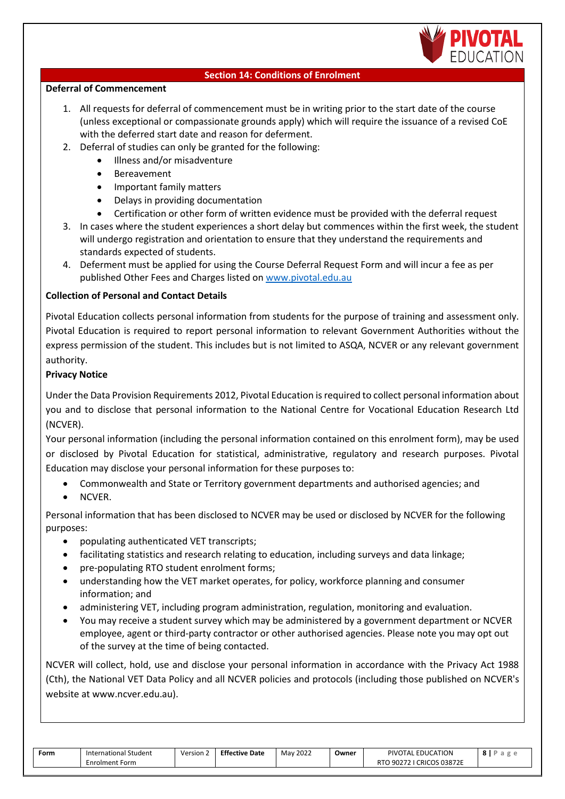

#### **Section 14: Conditions of Enrolment**

#### **Deferral of Commencement**

- 1. All requests for deferral of commencement must be in writing prior to the start date of the course (unless exceptional or compassionate grounds apply) which will require the issuance of a revised CoE with the deferred start date and reason for deferment.
- 2. Deferral of studies can only be granted for the following:
	- Illness and/or misadventure
		- Bereavement
		- Important family matters
		- Delays in providing documentation
	- Certification or other form of written evidence must be provided with the deferral request
- 3. In cases where the student experiences a short delay but commences within the first week, the student will undergo registration and orientation to ensure that they understand the requirements and standards expected of students.
- 4. Deferment must be applied for using the Course Deferral Request Form and will incur a fee as per published Other Fees and Charges listed on [www.pivotal.edu.au](http://www.pivotal.edu.au/)

## **Collection of Personal and Contact Details**

Pivotal Education collects personal information from students for the purpose of training and assessment only. Pivotal Education is required to report personal information to relevant Government Authorities without the express permission of the student. This includes but is not limited to ASQA, NCVER or any relevant government authority.

## **Privacy Notice**

Under the Data Provision Requirements 2012, Pivotal Education is required to collect personal information about you and to disclose that personal information to the National Centre for Vocational Education Research Ltd (NCVER).

Your personal information (including the personal information contained on this enrolment form), may be used or disclosed by Pivotal Education for statistical, administrative, regulatory and research purposes. Pivotal Education may disclose your personal information for these purposes to:

- Commonwealth and State or Territory government departments and authorised agencies; and
- NCVER.

Personal information that has been disclosed to NCVER may be used or disclosed by NCVER for the following purposes:

- populating authenticated VET transcripts;
- facilitating statistics and research relating to education, including surveys and data linkage;
- pre-populating RTO student enrolment forms;
- understanding how the VET market operates, for policy, workforce planning and consumer information; and
- administering VET, including program administration, regulation, monitoring and evaluation.
- You may receive a student survey which may be administered by a government department or NCVER employee, agent or third-party contractor or other authorised agencies. Please note you may opt out of the survey at the time of being contacted.

NCVER will collect, hold, use and disclose your personal information in accordance with the Privacy Act 1988 (Cth), the National VET Data Policy and all NCVER policies and protocols (including those published on NCVER's website at [www.ncver.edu.au\)](http://www.ncver.edu.au/).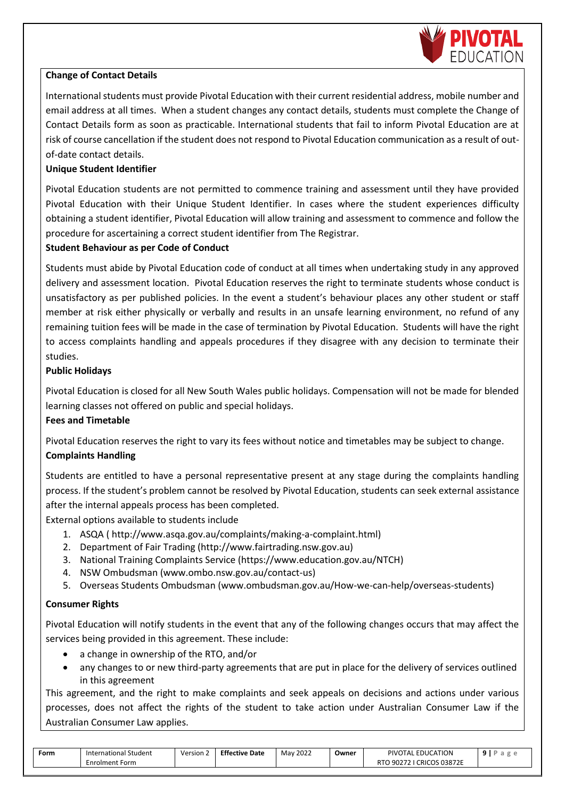

#### **Change of Contact Details**

International students must provide Pivotal Education with their current residential address, mobile number and email address at all times. When a student changes any contact details, students must complete the Change of Contact Details form as soon as practicable. International students that fail to inform Pivotal Education are at risk of course cancellation if the student does not respond to Pivotal Education communication as a result of outof-date contact details.

#### **Unique Student Identifier**

Pivotal Education students are not permitted to commence training and assessment until they have provided Pivotal Education with their Unique Student Identifier. In cases where the student experiences difficulty obtaining a student identifier, Pivotal Education will allow training and assessment to commence and follow the procedure for ascertaining a correct student identifier from The Registrar.

#### **Student Behaviour as per Code of Conduct**

Students must abide by Pivotal Education code of conduct at all times when undertaking study in any approved delivery and assessment location. Pivotal Education reserves the right to terminate students whose conduct is unsatisfactory as per published policies. In the event a student's behaviour places any other student or staff member at risk either physically or verbally and results in an unsafe learning environment, no refund of any remaining tuition fees will be made in the case of termination by Pivotal Education. Students will have the right to access complaints handling and appeals procedures if they disagree with any decision to terminate their studies.

#### **Public Holidays**

Pivotal Education is closed for all New South Wales public holidays. Compensation will not be made for blended learning classes not offered on public and special holidays.

#### **Fees and Timetable**

Pivotal Education reserves the right to vary its fees without notice and timetables may be subject to change. **Complaints Handling**

Students are entitled to have a personal representative present at any stage during the complaints handling process. If the student's problem cannot be resolved by Pivotal Education, students can seek external assistance after the internal appeals process has been completed.

External options available to students include

- 1. ASQA [\( http://www.asqa.gov.au/complaints/making-a-complaint.html\)](http://www.asqa.gov.au/complaints/making-a-complaint.html)
- 2. Department of Fair Trading [\(http://www.fairtrading.nsw.gov.au\)](http://www.fairtrading.nsw.gov.au/)
- 3. National Training Complaints Service [\(https://www.education.gov.au/NTCH\)](https://www.education.gov.au/NTCH)
- 4. NSW Ombudsman [\(www.ombo.nsw.gov.au/contact-us\)](http://www.ombo.nsw.gov.au/contact-us)
- 5. Overseas Students Ombudsman [\(www.ombudsman.gov.au/How-we-can-help/overseas-students\)](http://www.ombudsman.gov.au/How-we-can-help/overseas-students)

## **Consumer Rights**

Pivotal Education will notify students in the event that any of the following changes occurs that may affect the services being provided in this agreement. These include:

- a change in ownership of the RTO, and/or
- any changes to or new third-party agreements that are put in place for the delivery of services outlined in this agreement

This agreement, and the right to make complaints and seek appeals on decisions and actions under various processes, does not affect the rights of the student to take action under Australian Consumer Law if the Australian Consumer Law applies.

| <b>Effective Date</b><br>May 2022<br>PIVOTAL EDUCATION<br>Owner<br>Version $\sim$<br>Form<br>International Student<br>I CRICOS 03872E<br>רכרחם ו<br>RT <sub>0</sub><br>Enrolment Form<br><b>JUZ</b> | a |  |
|-----------------------------------------------------------------------------------------------------------------------------------------------------------------------------------------------------|---|--|
|-----------------------------------------------------------------------------------------------------------------------------------------------------------------------------------------------------|---|--|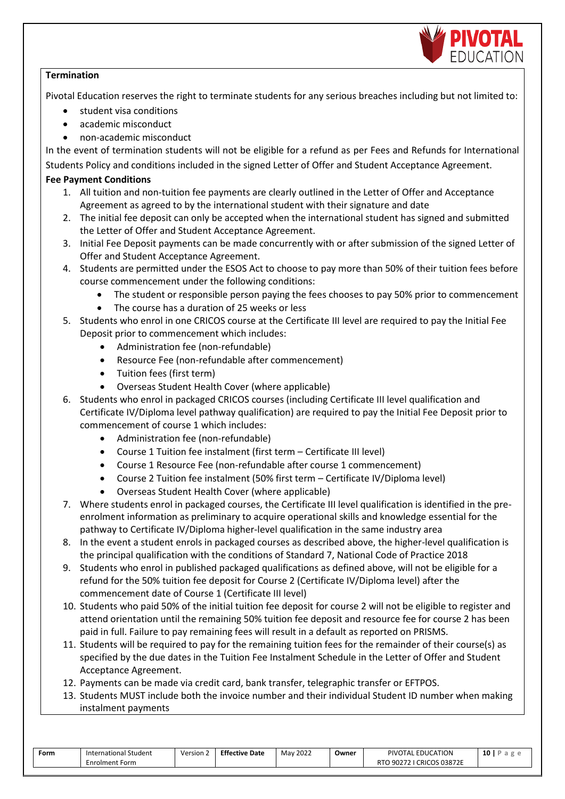

#### **Termination**

Pivotal Education reserves the right to terminate students for any serious breaches including but not limited to:

- student visa conditions
- academic misconduct
- non-academic misconduct

In the event of termination students will not be eligible for a refund as per Fees and Refunds for International Students Policy and conditions included in the signed Letter of Offer and Student Acceptance Agreement.

## **Fee Payment Conditions**

- 1. All tuition and non-tuition fee payments are clearly outlined in the Letter of Offer and Acceptance Agreement as agreed to by the international student with their signature and date
- 2. The initial fee deposit can only be accepted when the international student has signed and submitted the Letter of Offer and Student Acceptance Agreement.
- 3. Initial Fee Deposit payments can be made concurrently with or after submission of the signed Letter of Offer and Student Acceptance Agreement.
- 4. Students are permitted under the ESOS Act to choose to pay more than 50% of their tuition fees before course commencement under the following conditions:
	- The student or responsible person paying the fees chooses to pay 50% prior to commencement
	- The course has a duration of 25 weeks or less
- 5. Students who enrol in one CRICOS course at the Certificate III level are required to pay the Initial Fee Deposit prior to commencement which includes:
	- Administration fee (non-refundable)
	- Resource Fee (non-refundable after commencement)
	- Tuition fees (first term)
	- Overseas Student Health Cover (where applicable)
- 6. Students who enrol in packaged CRICOS courses (including Certificate III level qualification and Certificate IV/Diploma level pathway qualification) are required to pay the Initial Fee Deposit prior to commencement of course 1 which includes:
	- Administration fee (non-refundable)
	- Course 1 Tuition fee instalment (first term Certificate III level)
	- Course 1 Resource Fee (non-refundable after course 1 commencement)
	- Course 2 Tuition fee instalment (50% first term Certificate IV/Diploma level)
	- Overseas Student Health Cover (where applicable)
- 7. Where students enrol in packaged courses, the Certificate III level qualification is identified in the preenrolment information as preliminary to acquire operational skills and knowledge essential for the pathway to Certificate IV/Diploma higher-level qualification in the same industry area
- 8. In the event a student enrols in packaged courses as described above, the higher-level qualification is the principal qualification with the conditions of Standard 7, National Code of Practice 2018
- 9. Students who enrol in published packaged qualifications as defined above, will not be eligible for a refund for the 50% tuition fee deposit for Course 2 (Certificate IV/Diploma level) after the commencement date of Course 1 (Certificate III level)
- 10. Students who paid 50% of the initial tuition fee deposit for course 2 will not be eligible to register and attend orientation until the remaining 50% tuition fee deposit and resource fee for course 2 has been paid in full. Failure to pay remaining fees will result in a default as reported on PRISMS.
- 11. Students will be required to pay for the remaining tuition fees for the remainder of their course(s) as specified by the due dates in the Tuition Fee Instalment Schedule in the Letter of Offer and Student Acceptance Agreement.
- 12. Payments can be made via credit card, bank transfer, telegraphic transfer or EFTPOS.
- 13. Students MUST include both the invoice number and their individual Student ID number when making instalment payments

| Form | $\sim$<br>International Student | Version | <b>Effective Date</b> | 2022<br>Mav | Owner | <b>EDUCATION</b><br>PIVOTAL.         | 10 |
|------|---------------------------------|---------|-----------------------|-------------|-------|--------------------------------------|----|
|      | Enrolment Form                  |         |                       |             |       | CRICOS 03872E<br>90272<br><b>RTO</b> |    |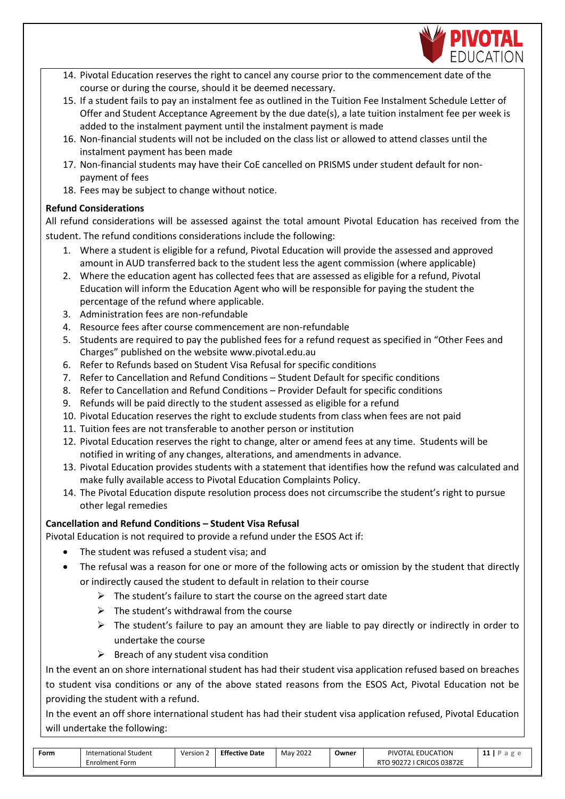

- 14. Pivotal Education reserves the right to cancel any course prior to the commencement date of the course or during the course, should it be deemed necessary.
- 15. If a student fails to pay an instalment fee as outlined in the Tuition Fee Instalment Schedule Letter of Offer and Student Acceptance Agreement by the due date(s), a late tuition instalment fee per week is added to the instalment payment until the instalment payment is made
- 16. Non-financial students will not be included on the class list or allowed to attend classes until the instalment payment has been made
- 17. Non-financial students may have their CoE cancelled on PRISMS under student default for nonpayment of fees
- 18. Fees may be subject to change without notice.

## **Refund Considerations**

All refund considerations will be assessed against the total amount Pivotal Education has received from the student. The refund conditions considerations include the following:

- 1. Where a student is eligible for a refund, Pivotal Education will provide the assessed and approved amount in AUD transferred back to the student less the agent commission (where applicable)
- 2. Where the education agent has collected fees that are assessed as eligible for a refund, Pivotal Education will inform the Education Agent who will be responsible for paying the student the percentage of the refund where applicable.
- 3. Administration fees are non-refundable
- 4. Resource fees after course commencement are non-refundable
- 5. Students are required to pay the published fees for a refund request as specified in "Other Fees and Charges" published on the website [www.pivotal.edu.au](http://www.pivotal.edu.au/)
- 6. Refer to Refunds based on Student Visa Refusal for specific conditions
- 7. Refer to Cancellation and Refund Conditions Student Default for specific conditions
- 8. Refer to Cancellation and Refund Conditions Provider Default for specific conditions
- 9. Refunds will be paid directly to the student assessed as eligible for a refund
- 10. Pivotal Education reserves the right to exclude students from class when fees are not paid
- 11. Tuition fees are not transferable to another person or institution
- 12. Pivotal Education reserves the right to change, alter or amend fees at any time. Students will be notified in writing of any changes, alterations, and amendments in advance.
- 13. Pivotal Education provides students with a statement that identifies how the refund was calculated and make fully available access to Pivotal Education Complaints Policy.
- 14. The Pivotal Education dispute resolution process does not circumscribe the student's right to pursue other legal remedies

## **Cancellation and Refund Conditions – Student Visa Refusal**

Pivotal Education is not required to provide a refund under the ESOS Act if:

- The student was refused a student visa; and
- The refusal was a reason for one or more of the following acts or omission by the student that directly or indirectly caused the student to default in relation to their course
	- $\triangleright$  The student's failure to start the course on the agreed start date
		- $\triangleright$  The student's withdrawal from the course
		- $\triangleright$  The student's failure to pay an amount they are liable to pay directly or indirectly in order to undertake the course
		- $\triangleright$  Breach of any student visa condition

In the event an on shore international student has had their student visa application refused based on breaches to student visa conditions or any of the above stated reasons from the ESOS Act, Pivotal Education not be providing the student with a refund.

In the event an off shore international student has had their student visa application refused, Pivotal Education will undertake the following:

| Form | International Student | Version 2 | <b>Effective Date</b> | 2022<br>Mav | Owner | PIVOTAL EDUCATION                     |  |
|------|-----------------------|-----------|-----------------------|-------------|-------|---------------------------------------|--|
|      | <b>Enrolment Form</b> |           |                       |             |       | つ 90272 I CRICOS 03872E<br><b>RTO</b> |  |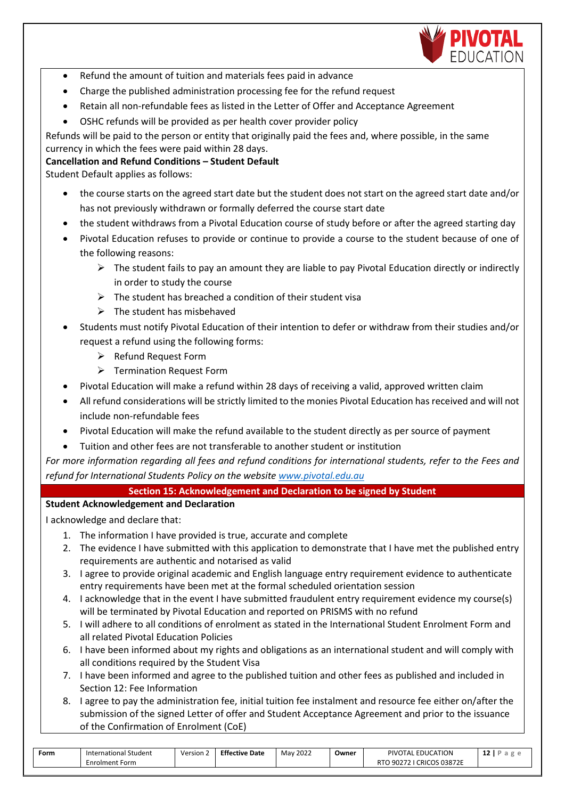

- Refund the amount of tuition and materials fees paid in advance
- Charge the published administration processing fee for the refund request
- Retain all non-refundable fees as listed in the Letter of Offer and Acceptance Agreement
- OSHC refunds will be provided as per health cover provider policy

Refunds will be paid to the person or entity that originally paid the fees and, where possible, in the same currency in which the fees were paid within 28 days.

#### **Cancellation and Refund Conditions – Student Default**

Student Default applies as follows:

- the course starts on the agreed start date but the student does not start on the agreed start date and/or has not previously withdrawn or formally deferred the course start date
- the student withdraws from a Pivotal Education course of study before or after the agreed starting day
- Pivotal Education refuses to provide or continue to provide a course to the student because of one of the following reasons:
	- $\triangleright$  The student fails to pay an amount they are liable to pay Pivotal Education directly or indirectly in order to study the course
	- $\triangleright$  The student has breached a condition of their student visa
	- $\triangleright$  The student has misbehaved
- Students must notify Pivotal Education of their intention to defer or withdraw from their studies and/or request a refund using the following forms:
	- ➢ Refund Request Form
	- ➢ Termination Request Form
- Pivotal Education will make a refund within 28 days of receiving a valid, approved written claim
- All refund considerations will be strictly limited to the monies Pivotal Education has received and will not include non-refundable fees
- Pivotal Education will make the refund available to the student directly as per source of payment
- Tuition and other fees are not transferable to another student or institution

*For more information regarding all fees and refund conditions for international students, refer to the Fees and refund for International Students Policy on the websit[e www.pivotal.edu.au](http://www.pivotal.edu.au/)*

#### **Section 15: Acknowledgement and Declaration to be signed by Student**

#### **Student Acknowledgement and Declaration**

I acknowledge and declare that:

- 1. The information I have provided is true, accurate and complete
- 2. The evidence I have submitted with this application to demonstrate that I have met the published entry requirements are authentic and notarised as valid
- 3. I agree to provide original academic and English language entry requirement evidence to authenticate entry requirements have been met at the formal scheduled orientation session
- 4. I acknowledge that in the event I have submitted fraudulent entry requirement evidence my course(s) will be terminated by Pivotal Education and reported on PRISMS with no refund
- 5. I will adhere to all conditions of enrolment as stated in the International Student Enrolment Form and all related Pivotal Education Policies
- 6. I have been informed about my rights and obligations as an international student and will comply with all conditions required by the Student Visa
- 7. I have been informed and agree to the published tuition and other fees as published and included in Section 12: Fee Information
- 8. I agree to pay the administration fee, initial tuition fee instalment and resource fee either on/after the submission of the signed Letter of offer and Student Acceptance Agreement and prior to the issuance of the Confirmation of Enrolment (CoE)

| Form | Student<br>lnternational ' | Version | <b>Effective</b><br>· Date | 2022<br>May | Owner | <b>PIVOTI</b><br>EDUCATION<br>11 A I | $\sim$<br>. . |
|------|----------------------------|---------|----------------------------|-------------|-------|--------------------------------------|---------------|
|      | Enrolment Form             |         |                            |             |       | <b>CRICOS 03872E</b><br>JUZ.         |               |